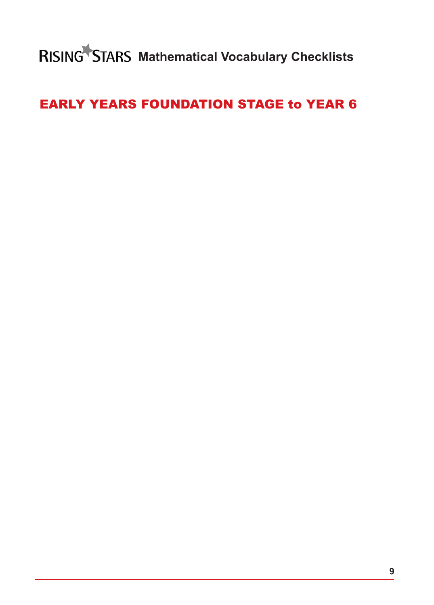**RISING STARS Mathematical Vocabulary Checklists** 

# EARLY YEARS FOUNDATION STAGE to YEAR 6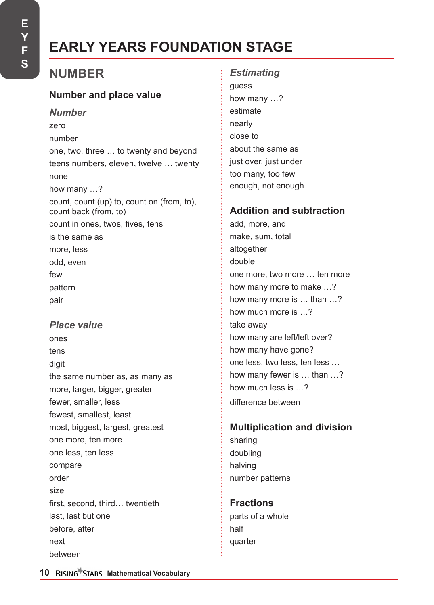# **EARLY YEARS FOUNDATION STAGE**

# **NUMBER**

## **Number and place value**

*Number* zero number one, two, three … to twenty and beyond teens numbers, eleven, twelve … twenty none how many …? count, count (up) to, count on (from, to), count back (from, to) count in ones, twos, fives, tens is the same as more, less odd, even few pattern pair

*Place value*  ones tens digit the same number as, as many as more, larger, bigger, greater fewer, smaller, less

fewest, smallest, least most, biggest, largest, greatest one more, ten more one less, ten less compare order size first, second, third… twentieth last, last but one before, after next between

*Estimating*  guess how many …? estimate nearly close to about the same as just over, just under too many, too few enough, not enough

## **Addition and subtraction**

add, more, and make, sum, total altogether double one more, two more … ten more how many more to make …? how many more is … than …? how much more is …? take away how many are left/left over? how many have gone? one less, two less, ten less … how many fewer is … than …? how much less is ? difference between

## **Multiplication and division** sharing doubling halving number patterns

**Fractions** parts of a whole half quarter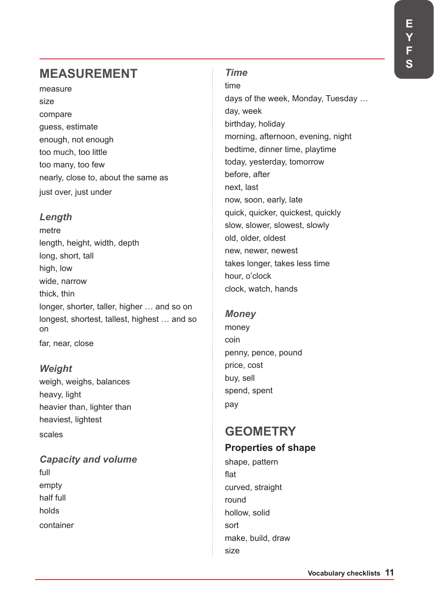# **MEASUREMENT**

measure size compare guess, estimate enough, not enough too much, too little too many, too few nearly, close to, about the same as just over, just under

## *Length*

metre length, height, width, depth long, short, tall high, low wide, narrow thick, thin longer, shorter, taller, higher … and so on longest, shortest, tallest, highest … and so on far, near, close

## *Weight*

weigh, weighs, balances heavy, light heavier than, lighter than heaviest, lightest scales

# *Capacity and volume*

full empty half full holds container

### *Time*

time days of the week, Monday, Tuesday … day, week birthday, holiday morning, afternoon, evening, night bedtime, dinner time, playtime today, yesterday, tomorrow before, after next, last now, soon, early, late quick, quicker, quickest, quickly slow, slower, slowest, slowly old, older, oldest new, newer, newest takes longer, takes less time hour, o'clock clock, watch, hands

# *Money*

money coin penny, pence, pound price, cost buy, sell spend, spent pay

# **GEOMETRY Properties of shape**

shape, pattern flat curved, straight round hollow, solid sort make, build, draw size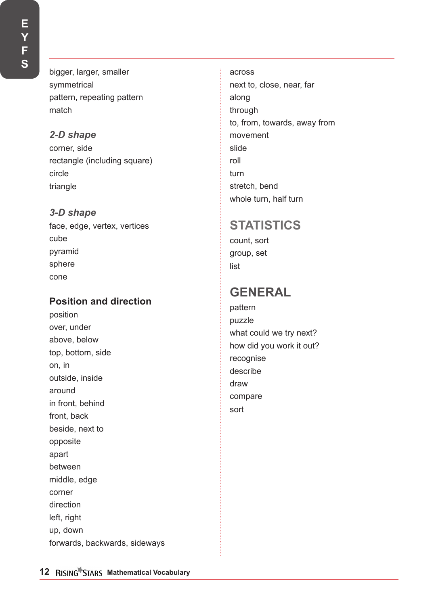bigger, larger, smaller symmetrical pattern, repeating pattern match

# *2-D shape*

corner, side rectangle (including square) circle triangle

## *3-D shape*

face, edge, vertex, vertices cube pyramid sphere cone

# **Position and direction**

position over, under above, below top, bottom, side on, in outside, inside around in front, behind front, back beside, next to opposite apart between middle, edge corner direction left, right up, down forwards, backwards, sideways

across next to, close, near, far along through to, from, towards, away from movement slide roll turn stretch, bend whole turn, half turn

# **STATISTICS**

count, sort group, set list

# **GENERAL**

pattern puzzle what could we try next? how did you work it out? recognise describe draw compare sort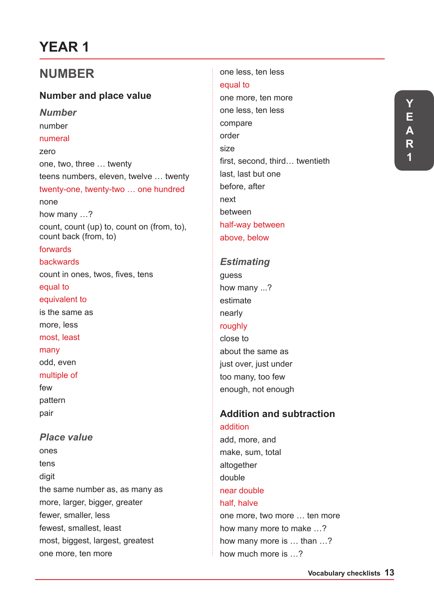# **YEAR 1**

# **NUMBER**

## **Number and place value**

*Number* number numeral zero one, two, three … twenty teens numbers, eleven, twelve … twenty twenty-one, twenty-two … one hundred none how many …? count, count (up) to, count on (from, to), count back (from, to) forwards backwards count in ones, twos, fives, tens equal to equivalent to is the same as more, less most, least many odd, even multiple of few pattern pair *Place value*

ones tens digit the same number as, as many as more, larger, bigger, greater fewer, smaller, less fewest, smallest, least most, biggest, largest, greatest one more, ten more

one less, ten less equal to one more, ten more one less, ten less compare order size first, second, third… twentieth last, last but one before, after next between half-way between above, below

#### *Estimating*

guess how many ...? estimate nearly roughly close to about the same as just over, just under too many, too few enough, not enough

# **Addition and subtraction**

addition add, more, and make, sum, total altogether double near double half, halve one more, two more … ten more how many more to make …? how many more is … than …? how much more is …?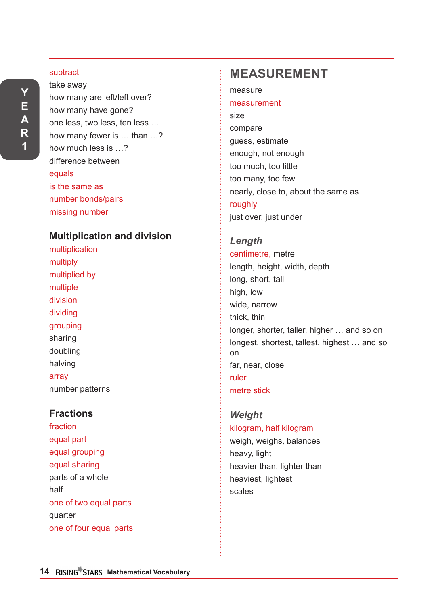#### subtract

take away how many are left/left over? how many have gone? one less, two less, ten less … how many fewer is … than …? how much less is …? difference between equals is the same as number bonds/pairs missing number

### **Multiplication and division**

multiplication multiply multiplied by multiple division dividing grouping sharing doubling halving array number patterns

## **Fractions**

fraction equal part equal grouping equal sharing parts of a whole half one of two equal parts quarter one of four equal parts

# **MEASUREMENT**

measure

#### measurement

size compare guess, estimate enough, not enough too much, too little too many, too few nearly, close to, about the same as roughly just over, just under

#### *Length*

centimetre, metre length, height, width, depth long, short, tall high, low wide, narrow thick, thin longer, shorter, taller, higher … and so on longest, shortest, tallest, highest … and so on far, near, close ruler metre stick

### *Weight* kilogram, half kilogram

weigh, weighs, balances heavy, light heavier than, lighter than heaviest, lightest scales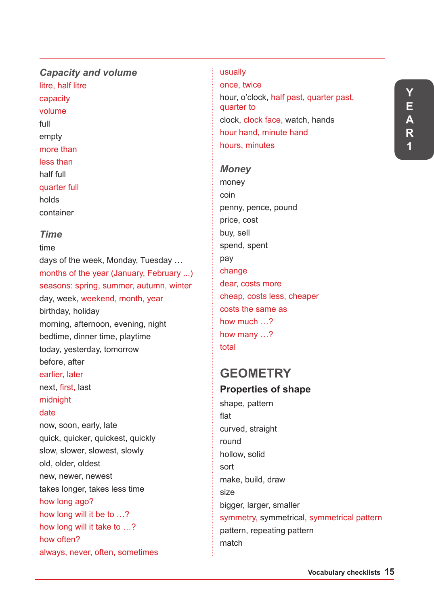## *Capacity and volume*  litre, half litre capacity volume full empty more than less than

half full quarter full

holds

container

### *Time*

time days of the week, Monday, Tuesday … months of the year (January, February ...) seasons: spring, summer, autumn, winter day, week, weekend, month, year birthday, holiday morning, afternoon, evening, night bedtime, dinner time, playtime today, yesterday, tomorrow before, after earlier, later next, first, last midnight date now, soon, early, late quick, quicker, quickest, quickly slow, slower, slowest, slowly old, older, oldest new, newer, newest takes longer, takes less time how long ago? how long will it be to …? how long will it take to …? how often? always, never, often, sometimes

#### usually

once, twice hour, o'clock, half past, quarter past, quarter to clock, clock face, watch, hands hour hand, minute hand hours, minutes

# *Money*

money coin penny, pence, pound price, cost buy, sell spend, spent pay change dear, costs more cheap, costs less, cheaper costs the same as how much …? how many …? total

# **GEOMETRY Properties of shape**

shape, pattern flat curved, straight round hollow, solid sort make, build, draw size bigger, larger, smaller symmetry, symmetrical, symmetrical pattern pattern, repeating pattern match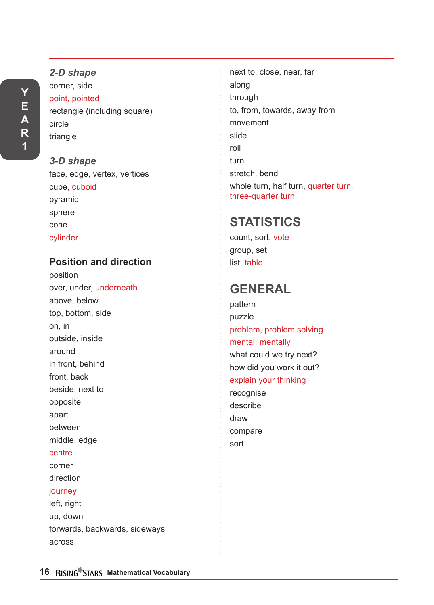*2-D shape* corner, side point, pointed rectangle (including square) circle triangle

*3-D shape* face, edge, vertex, vertices cube, cuboid pyramid sphere cone cylinder

## **Position and direction**

position over, under, underneath above, below top, bottom, side on, in outside, inside around in front, behind front, back beside, next to opposite apart between middle, edge centre corner direction journey left, right up, down forwards, backwards, sideways

next to, close, near, far along through to, from, towards, away from movement slide roll turn stretch, bend whole turn, half turn, quarter turn, three-quarter turn

# **STATISTICS**

count, sort, vote group, set list, table

# **GENERAL**

pattern puzzle problem, problem solving mental, mentally what could we try next? how did you work it out? explain your thinking

recognise describe draw compare sort

across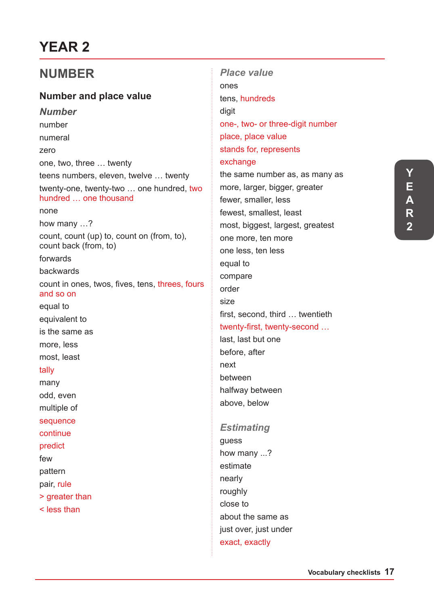# **YEAR 2**

# **NUMBER**

## **Number and place value**

*Number* number numeral zero one, two, three … twenty teens numbers, eleven, twelve … twenty twenty-one, twenty-two … one hundred, two hundred … one thousand none how many …? count, count (up) to, count on (from, to), count back (from, to) forwards backwards count in ones, twos, fives, tens, threes, fours and so on equal to equivalent to is the same as more, less most, least tally many odd, even multiple of sequence continue predict few pattern pair, rule > greater than < less than

*Place value*  ones tens, hundreds digit one-, two- or three-digit number place, place value stands for, represents exchange the same number as, as many as more, larger, bigger, greater fewer, smaller, less fewest, smallest, least most, biggest, largest, greatest one more, ten more one less, ten less equal to compare order size first, second, third … twentieth twenty-first, twenty-second … last, last but one before, after next between halfway between above, below

### *Estimating*

guess how many ...? estimate nearly roughly close to about the same as just over, just under exact, exactly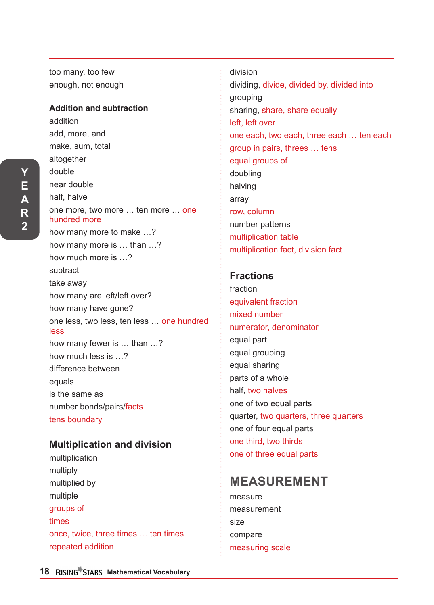**Y E A R 2**

too many, too few enough, not enough

### **Addition and subtraction**

addition add, more, and make, sum, total altogether double near double half, halve one more, two more … ten more … one hundred more how many more to make …? how many more is … than …? how much more is …? subtract take away how many are left/left over? how many have gone? one less, two less, ten less … one hundred less how many fewer is … than …? how much less is …? difference between equals is the same as number bonds/pairs/facts tens boundary

## **Multiplication and division**

multiplication multiply multiplied by multiple groups of times once, twice, three times … ten times repeated addition

division dividing, divide, divided by, divided into grouping sharing, share, share equally left, left over one each, two each, three each … ten each group in pairs, threes … tens equal groups of doubling halving array row, column number patterns multiplication table multiplication fact, division fact

## **Fractions**

fraction equivalent fraction mixed number numerator, denominator equal part equal grouping equal sharing parts of a whole half, two halves one of two equal parts quarter, two quarters, three quarters one of four equal parts one third, two thirds one of three equal parts

# **MEASUREMENT**

measure measurement size compare measuring scale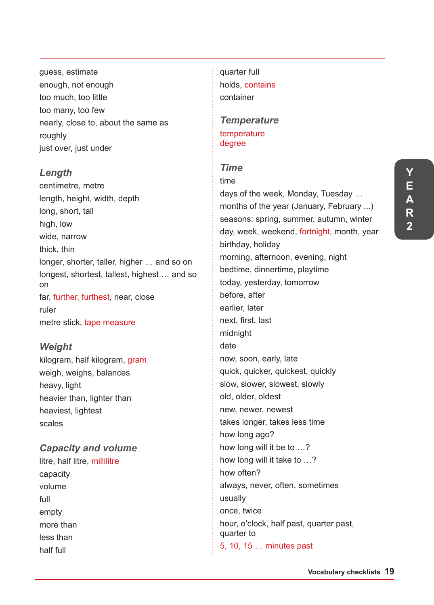**R 2**

guess, estimate enough, not enough too much, too little too many, too few nearly, close to, about the same as roughly just over, just under

### *Length*

centimetre, metre length, height, width, depth long, short, tall high, low wide, narrow thick, thin longer, shorter, taller, higher … and so on longest, shortest, tallest, highest … and so on far, further, furthest, near, close ruler metre stick, tape measure

## *Weight*

kilogram, half kilogram, gram weigh, weighs, balances heavy, light heavier than, lighter than heaviest, lightest scales

#### *Capacity and volume*

litre, half litre, millilitre capacity volume full empty more than less than half full

quarter full holds, contains container

#### *Temperature* temperature degree

### *Time*

time days of the week, Monday, Tuesday … months of the year (January, February ...) seasons: spring, summer, autumn, winter day, week, weekend, fortnight, month, year birthday, holiday morning, afternoon, evening, night bedtime, dinnertime, playtime today, yesterday, tomorrow before, after earlier, later next, first, last midnight date now, soon, early, late quick, quicker, quickest, quickly slow, slower, slowest, slowly old, older, oldest new, newer, newest takes longer, takes less time how long ago? how long will it be to …? how long will it take to …? how often? always, never, often, sometimes usually once, twice hour, o'clock, half past, quarter past, quarter to 5, 10, 15 … minutes past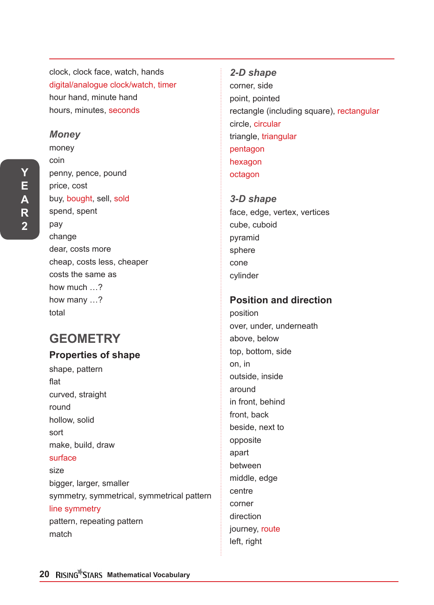clock, clock face, watch, hands digital/analogue clock/watch, timer hour hand, minute hand hours, minutes, seconds

#### *Money*

**Y E A R 2**

money coin penny, pence, pound price, cost buy, bought, sell, sold spend, spent pay change dear, costs more cheap, costs less, cheaper costs the same as how much …? how many …? total

# **GEOMETRY**

### **Properties of shape**

shape, pattern flat curved, straight round hollow, solid sort make, build, draw surface size bigger, larger, smaller symmetry, symmetrical, symmetrical pattern line symmetry pattern, repeating pattern match

*2-D shape* corner, side point, pointed rectangle (including square), rectangular circle, circular triangle, triangular pentagon hexagon octagon

*3-D shape* face, edge, vertex, vertices cube, cuboid pyramid sphere cone cylinder

## **Position and direction**

position over, under, underneath above, below top, bottom, side on, in outside, inside around in front, behind front, back beside, next to opposite apart between middle, edge centre corner direction journey, route left, right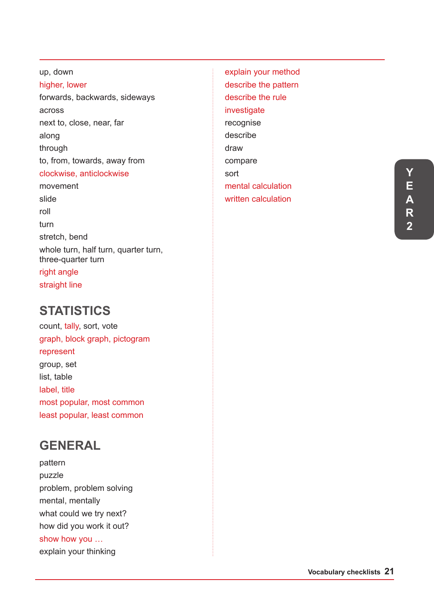up, down higher, lower forwards, backwards, sideways across next to, close, near, far along through to, from, towards, away from clockwise, anticlockwise movement slide roll turn stretch, bend whole turn, half turn, quarter turn, three-quarter turn right angle straight line

# **STATISTICS**

count, tally, sort, vote graph, block graph, pictogram represent group, set list, table label, title most popular, most common least popular, least common

# **GENERAL**

pattern puzzle problem, problem solving mental, mentally what could we try next? how did you work it out? show how you … explain your thinking

explain your method describe the pattern describe the rule investigate recognise describe draw compare sort mental calculation written calculation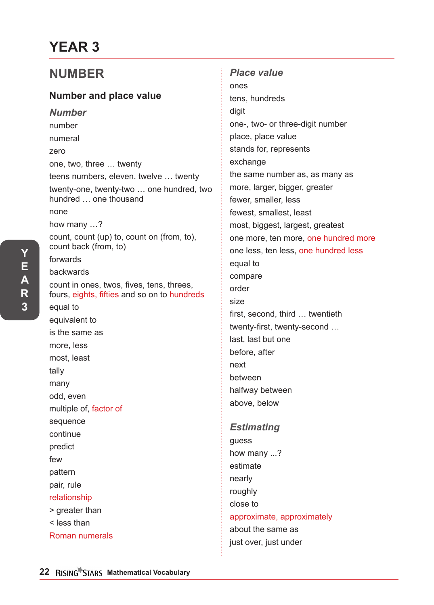# **YEAR 3**

# **NUMBER**

## **Number and place value**

*Number* number numeral zero one, two, three … twenty teens numbers, eleven, twelve … twenty twenty-one, twenty-two … one hundred, two hundred … one thousand none how many …? count, count (up) to, count on (from, to), count back (from, to) forwards backwards count in ones, twos, fives, tens, threes, fours, eights, fifties and so on to hundreds equal to equivalent to is the same as more, less most, least tally many odd, even multiple of, factor of sequence continue predict few pattern pair, rule relationship > greater than < less than Roman numerals

*Place value*  ones tens, hundreds digit one-, two- or three-digit number place, place value stands for, represents exchange the same number as, as many as more, larger, bigger, greater fewer, smaller, less fewest, smallest, least most, biggest, largest, greatest one more, ten more, one hundred more one less, ten less, one hundred less equal to compare order size first, second, third … twentieth twenty-first, twenty-second … last, last but one before, after next between halfway between above, below

#### *Estimating*

guess how many ...? estimate nearly roughly close to approximate, approximately about the same as just over, just under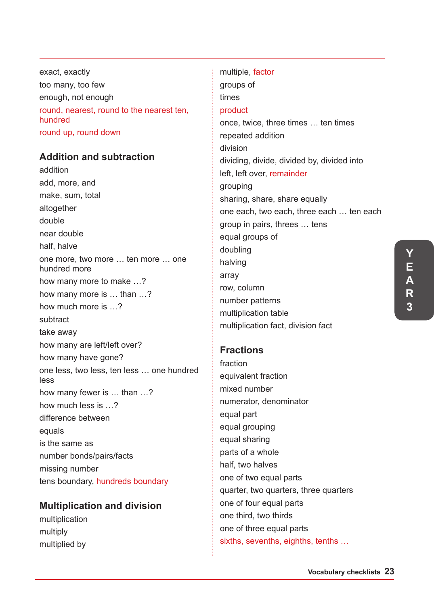exact, exactly too many, too few enough, not enough round, nearest, round to the nearest ten, hundred round up, round down

## **Addition and subtraction**

addition add, more, and make, sum, total altogether double near double half, halve one more, two more … ten more … one hundred more how many more to make …? how many more is … than …? how much more is …? subtract take away how many are left/left over? how many have gone? one less, two less, ten less … one hundred less how many fewer is … than …? how much less is …? difference between equals is the same as number bonds/pairs/facts missing number tens boundary, hundreds boundary

### **Multiplication and division**

multiplication multiply multiplied by

multiple, factor groups of times product once, twice, three times … ten times repeated addition division dividing, divide, divided by, divided into left, left over, remainder grouping sharing, share, share equally one each, two each, three each … ten each group in pairs, threes … tens equal groups of doubling halving array row, column number patterns multiplication table multiplication fact, division fact

## **Fractions**

fraction equivalent fraction mixed number numerator, denominator equal part equal grouping equal sharing parts of a whole half, two halves one of two equal parts quarter, two quarters, three quarters one of four equal parts one third, two thirds one of three equal parts sixths, sevenths, eighths, tenths …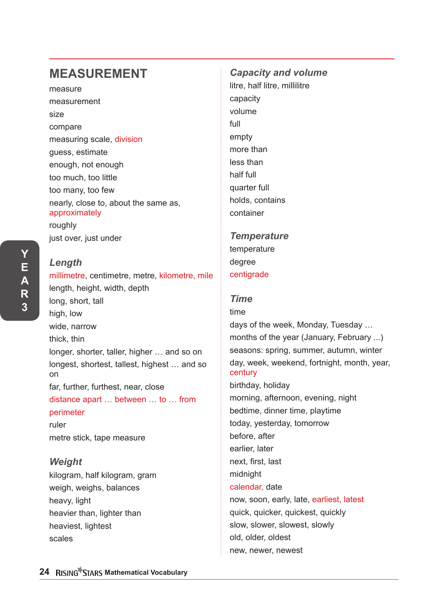# **MEASUREMENT**

measure measurement size compare measuring scale, division guess, estimate enough, not enough too much, too little too many, too few nearly, close to, about the same as, approximately roughly just over, just under

**Y E A R 3**

# *Length*  millimetre, centimetre, metre, kilometre, mile length, height, width, depth long, short, tall high, low wide, narrow thick, thin longer, shorter, taller, higher … and so on longest, shortest, tallest, highest … and so on far, further, furthest, near, close distance apart … between … to … from perimeter ruler metre stick, tape measure *Weight*  kilogram, half kilogram, gram

weigh, weighs, balances heavy, light heavier than, lighter than heaviest, lightest scales

# *Capacity and volume*  litre, half litre, millilitre capacity volume full empty more than less than half full quarter full holds, contains container

# *Temperature* temperature degree centigrade

## *Time*

# time days of the week, Monday, Tuesday … months of the year (January, February ...) seasons: spring, summer, autumn, winter day, week, weekend, fortnight, month, year, century birthday, holiday morning, afternoon, evening, night bedtime, dinner time, playtime today, yesterday, tomorrow before, after earlier, later next, first, last midnight calendar, date now, soon, early, late, earliest, latest quick, quicker, quickest, quickly slow, slower, slowest, slowly old, older, oldest new, newer, newest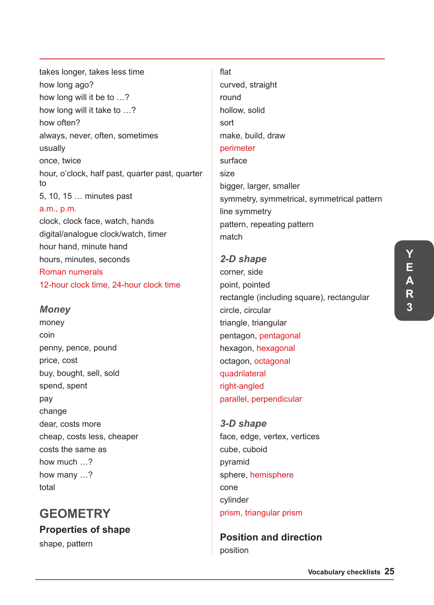takes longer, takes less time how long will it be to …? how long will it take to …? always, never, often, sometimes hour, o'clock, half past, quarter past, quarter 5, 10, 15 … minutes past clock, clock face, watch, hands digital/analogue clock/watch, timer hour hand, minute hand sort size

## hours, minutes, seconds Roman numerals 12-hour clock time, 24-hour clock time

## *Money*

how long ago?

how often?

once, twice

a.m., p.m.

usually

to

money coin penny, pence, pound price, cost buy, bought, sell, sold spend, spent pay change dear, costs more cheap, costs less, cheaper costs the same as how much …? how many …? total

# **GEOMETRY**

**Properties of shape** shape, pattern

## flat

curved, straight round hollow, solid make, build, draw perimeter surface bigger, larger, smaller symmetry, symmetrical, symmetrical pattern line symmetry pattern, repeating pattern match

# *2-D shape* corner, side point, pointed rectangle (including square), rectangular circle, circular triangle, triangular pentagon, pentagonal hexagon, hexagonal octagon, octagonal quadrilateral right-angled parallel, perpendicular

*3-D shape* face, edge, vertex, vertices cube, cuboid pyramid sphere, hemisphere cone cylinder prism, triangular prism

**Position and direction** position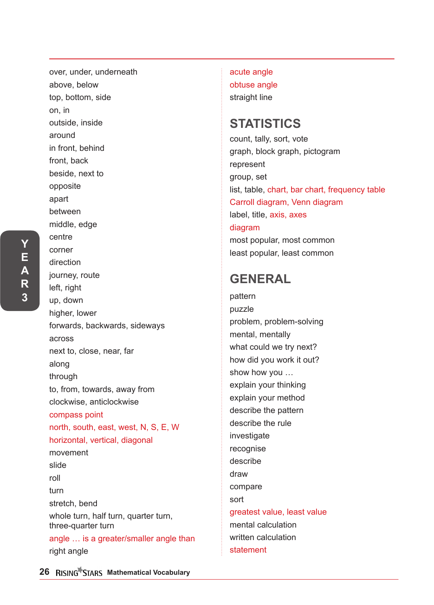over, under, underneath above, below top, bottom, side on, in outside, inside around in front, behind front, back beside, next to opposite apart between middle, edge centre corner direction journey, route left, right up, down higher, lower forwards, backwards, sideways across next to, close, near, far along through to, from, towards, away from clockwise, anticlockwise compass point north, south, east, west, N, S, E, W horizontal, vertical, diagonal movement slide roll turn stretch, bend whole turn, half turn, quarter turn, three-quarter turn angle … is a greater/smaller angle than right angle

acute angle obtuse angle straight line

# **STATISTICS**

count, tally, sort, vote graph, block graph, pictogram represent group, set list, table, chart, bar chart, frequency table Carroll diagram, Venn diagram label, title, axis, axes diagram most popular, most common least popular, least common

# **GENERAL**

pattern puzzle problem, problem-solving mental, mentally what could we try next? how did you work it out? show how you … explain your thinking explain your method describe the pattern describe the rule investigate recognise describe draw compare sort greatest value, least value mental calculation written calculation statement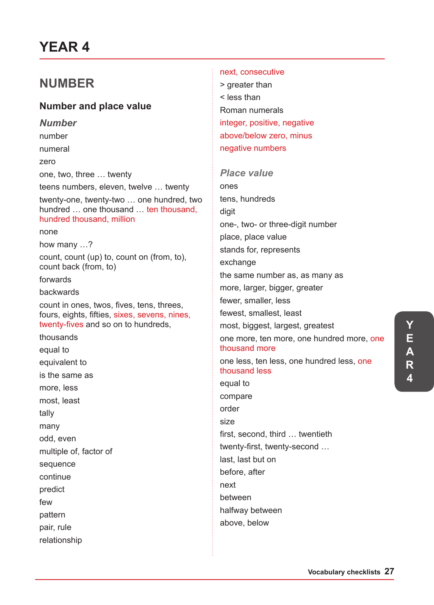# **YEAR 4**

# **NUMBER**

## **Number and place value**

*Number* number numeral zero one, two, three … twenty teens numbers, eleven, twelve … twenty twenty-one, twenty-two … one hundred, two hundred … one thousand … ten thousand, hundred thousand, million none how many …? count, count (up) to, count on (from, to), count back (from, to) forwards backwards count in ones, twos, fives, tens, threes, fours, eights, fifties, sixes, sevens, nines, twenty-fives and so on to hundreds, thousands equal to equivalent to is the same as more, less most, least tally many odd, even multiple of, factor of sequence continue predict few pattern pair, rule relationship

#### next, consecutive

> greater than < less than Roman numerals integer, positive, negative above/below zero, minus negative numbers

#### *Place value*

ones tens, hundreds digit one-, two- or three-digit number place, place value stands for, represents exchange the same number as, as many as more, larger, bigger, greater fewer, smaller, less fewest, smallest, least most, biggest, largest, greatest one more, ten more, one hundred more, one thousand more one less, ten less, one hundred less, one thousand less equal to compare order size first, second, third … twentieth twenty-first, twenty-second … last, last but on before, after next between halfway between above, below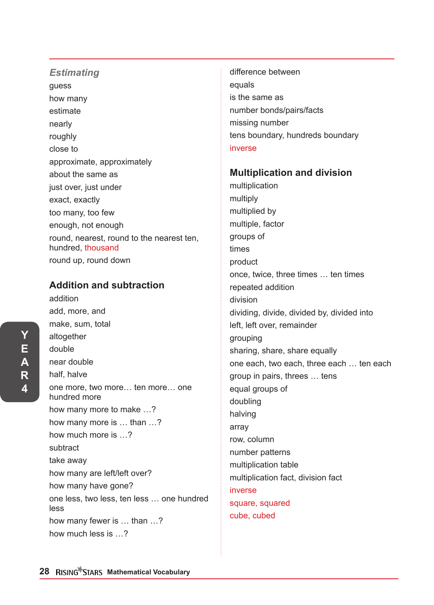#### *Estimating*

guess how many estimate nearly roughly close to approximate, approximately about the same as just over, just under exact, exactly too many, too few enough, not enough round, nearest, round to the nearest ten, hundred, thousand round up, round down

### **Addition and subtraction**

addition add, more, and make, sum, total altogether double near double half, halve one more, two more… ten more… one hundred more how many more to make …? how many more is … than …? how much more is …? subtract take away how many are left/left over? how many have gone? one less, two less, ten less … one hundred less how many fewer is … than …? how much less is …?

difference between equals is the same as number bonds/pairs/facts missing number tens boundary, hundreds boundary inverse

#### **Multiplication and division**

multiplication multiply multiplied by multiple, factor groups of times product once, twice, three times … ten times repeated addition division dividing, divide, divided by, divided into left, left over, remainder grouping sharing, share, share equally one each, two each, three each … ten each group in pairs, threes … tens equal groups of doubling halving array row, column number patterns multiplication table multiplication fact, division fact inverse square, squared cube, cubed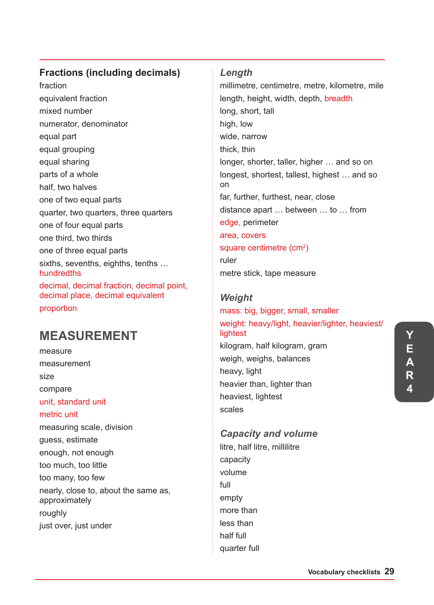## **Fractions (including decimals)**

fraction equivalent fraction mixed number numerator, denominator equal part equal grouping equal sharing parts of a whole half, two halves one of two equal parts quarter, two quarters, three quarters one of four equal parts one third, two thirds one of three equal parts sixths, sevenths, eighths, tenths … hundredths decimal, decimal fraction, decimal point, decimal place, decimal equivalent proportion

# **MEASUREMENT**

measure measurement size compare unit, standard unit metric unit measuring scale, division guess, estimate enough, not enough too much, too little too many, too few nearly, close to, about the same as, approximately roughly just over, just under

### *Length*

millimetre, centimetre, metre, kilometre, mile length, height, width, depth, breadth long, short, tall high, low wide, narrow thick, thin longer, shorter, taller, higher … and so on longest, shortest, tallest, highest … and so on far, further, furthest, near, close distance apart … between … to … from edge, perimeter area, covers square centimetre (cm<sup>2</sup>) ruler metre stick, tape measure

## *Weight*

## mass: big, bigger, small, smaller weight: heavy/light, heavier/lighter, heaviest/ lightest kilogram, half kilogram, gram weigh, weighs, balances heavy, light heavier than, lighter than heaviest, lightest scales

## *Capacity and volume*

litre, half litre, millilitre capacity volume full empty more than less than half full quarter full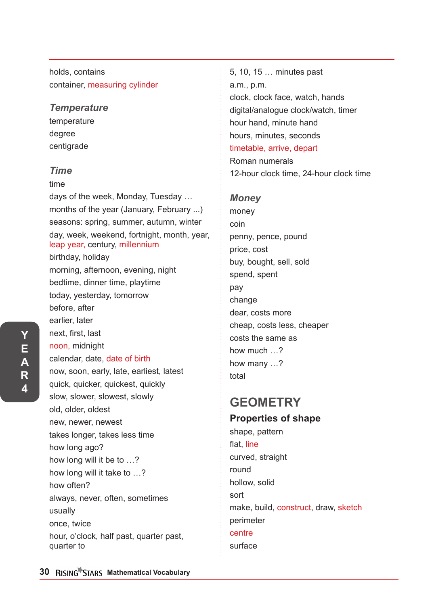holds, contains container, measuring cylinder

### *Temperature*

temperature degree centigrade

### *Time*

time

days of the week, Monday, Tuesday … months of the year (January, February ...) seasons: spring, summer, autumn, winter day, week, weekend, fortnight, month, year, leap year, century, millennium birthday, holiday morning, afternoon, evening, night bedtime, dinner time, playtime today, yesterday, tomorrow before, after earlier, later next, first, last noon, midnight calendar, date, date of birth now, soon, early, late, earliest, latest quick, quicker, quickest, quickly slow, slower, slowest, slowly old, older, oldest new, newer, newest takes longer, takes less time how long ago? how long will it be to …? how long will it take to …? how often? always, never, often, sometimes usually once, twice hour, o'clock, half past, quarter past, quarter to

5, 10, 15 … minutes past a.m., p.m. clock, clock face, watch, hands digital/analogue clock/watch, timer hour hand, minute hand hours, minutes, seconds timetable, arrive, depart Roman numerals 12-hour clock time, 24-hour clock time

### *Money*

money coin penny, pence, pound price, cost buy, bought, sell, sold spend, spent pay change dear, costs more cheap, costs less, cheaper costs the same as how much …? how many …? total

# **GEOMETRY**

## **Properties of shape**

shape, pattern flat, line curved, straight round hollow, solid sort make, build, construct, draw, sketch perimeter centre surface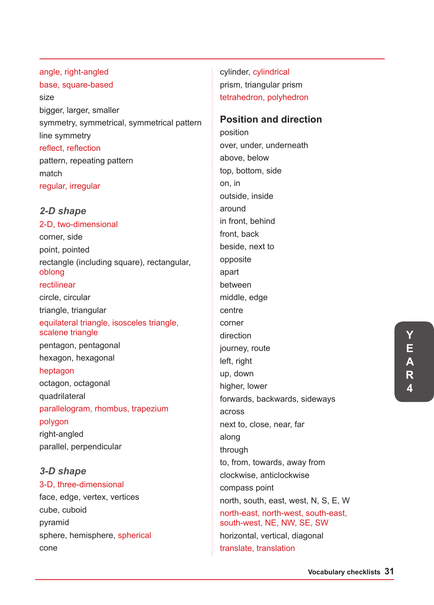angle, right-angled base, square-based size bigger, larger, smaller symmetry, symmetrical, symmetrical pattern line symmetry reflect, reflection pattern, repeating pattern match regular, irregular

#### *2-D shape*

2-D, two-dimensional corner, side point, pointed rectangle (including square), rectangular, oblong rectilinear circle, circular triangle, triangular equilateral triangle, isosceles triangle, scalene triangle pentagon, pentagonal hexagon, hexagonal heptagon octagon, octagonal quadrilateral parallelogram, rhombus, trapezium polygon right-angled parallel, perpendicular

*3-D shape* 3-D, three-dimensional face, edge, vertex, vertices cube, cuboid pyramid sphere, hemisphere, spherical cone

cylinder, cylindrical prism, triangular prism tetrahedron, polyhedron

### **Position and direction**

position over, under, underneath above, below top, bottom, side on, in outside, inside around in front, behind front, back beside, next to opposite apart between middle, edge centre corner direction journey, route left, right up, down higher, lower forwards, backwards, sideways across next to, close, near, far along through to, from, towards, away from clockwise, anticlockwise compass point north, south, east, west, N, S, E, W north-east, north-west, south-east, south-west, NE, NW, SE, SW horizontal, vertical, diagonal translate, translation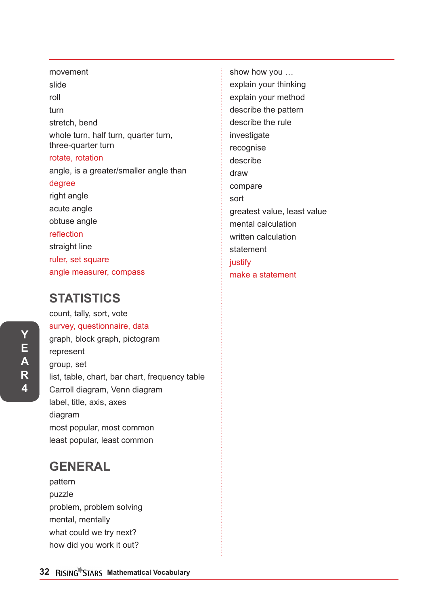# movement slide roll turn stretch, bend whole turn, half turn, quarter turn, three-quarter turn rotate, rotation angle, is a greater/smaller angle than degree right angle acute angle obtuse angle reflection straight line ruler, set square angle measurer, compass

# **STATISTICS**

count, tally, sort, vote survey, questionnaire, data graph, block graph, pictogram represent group, set list, table, chart, bar chart, frequency table Carroll diagram, Venn diagram label, title, axis, axes diagram most popular, most common least popular, least common

# **GENERAL**

pattern puzzle problem, problem solving mental, mentally what could we try next? how did you work it out?

**32 RISING STARS Mathematical Vocabulary** 

show how you … explain your thinking explain your method describe the pattern describe the rule investigate recognise describe draw compare sort greatest value, least value mental calculation written calculation statement justify make a statement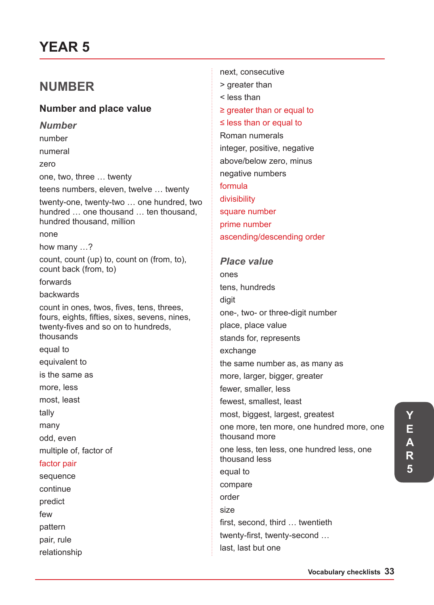# **YEAR 5**

# **NUMBER**

## **Number and place value**

*Number* number numeral zero one, two, three … twenty teens numbers, eleven, twelve … twenty twenty-one, twenty-two … one hundred, two hundred … one thousand … ten thousand, hundred thousand, million none how many …? count, count (up) to, count on (from, to), count back (from, to) forwards backwards count in ones, twos, fives, tens, threes, fours, eights, fifties, sixes, sevens, nines, twenty-fives and so on to hundreds, thousands equal to equivalent to is the same as more, less most, least tally many odd, even multiple of, factor of factor pair sequence continue predict few pattern pair, rule relationship

next, consecutive > greater than < less than ≥ greater than or equal to ≤ less than or equal to Roman numerals integer, positive, negative above/below zero, minus negative numbers formula divisibility square number prime number ascending/descending order

#### *Place value*

ones tens, hundreds digit one-, two- or three-digit number place, place value stands for, represents exchange the same number as, as many as more, larger, bigger, greater fewer, smaller, less fewest, smallest, least most, biggest, largest, greatest one more, ten more, one hundred more, one thousand more one less, ten less, one hundred less, one thousand less equal to compare order size first, second, third … twentieth twenty-first, twenty-second … last, last but one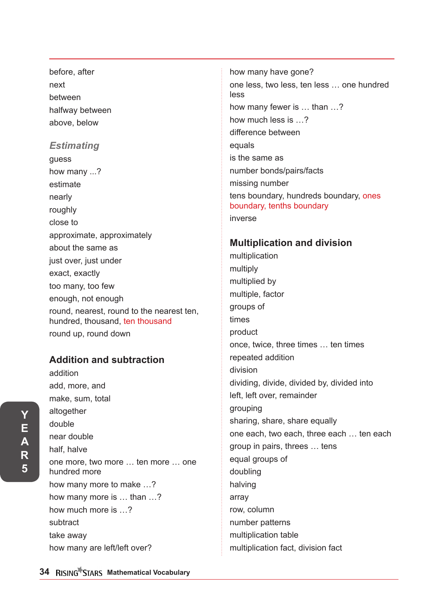before, after next between halfway between above, below

### *Estimating*

guess how many ...? estimate nearly roughly close to approximate, approximately about the same as just over, just under exact, exactly too many, too few enough, not enough round, nearest, round to the nearest ten, hundred, thousand, ten thousand round up, round down

## **Addition and subtraction**

addition add, more, and make, sum, total altogether double near double half, halve one more, two more … ten more … one hundred more how many more to make …? how many more is … than …? how much more is …? subtract take away how many are left/left over?

how many have gone? one less, two less, ten less … one hundred less how many fewer is … than …? how much less is …? difference between equals is the same as number bonds/pairs/facts missing number tens boundary, hundreds boundary, ones boundary, tenths boundary inverse

### **Multiplication and division**

multiplication multiply multiplied by multiple, factor groups of times product once, twice, three times … ten times repeated addition division dividing, divide, divided by, divided into left, left over, remainder grouping sharing, share, share equally one each, two each, three each … ten each group in pairs, threes … tens equal groups of doubling halving array row, column number patterns multiplication table multiplication fact, division fact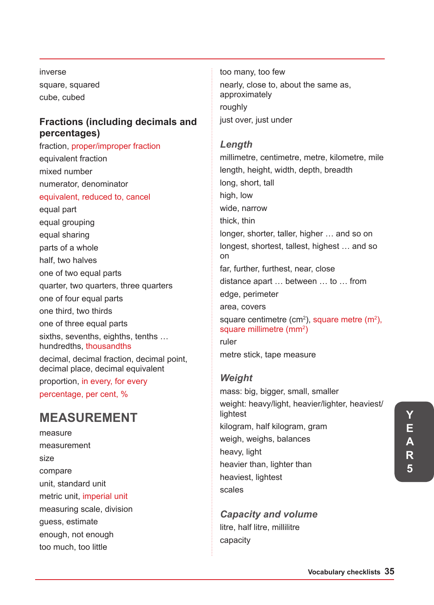inverse square, squared cube, cubed

### **Fractions (including decimals and percentages)**

fraction, proper/improper fraction equivalent fraction mixed number numerator, denominator equivalent, reduced to, cancel equal part equal grouping equal sharing parts of a whole half, two halves one of two equal parts quarter, two quarters, three quarters one of four equal parts one third, two thirds one of three equal parts sixths, sevenths, eighths, tenths … hundredths, thousandths decimal, decimal fraction, decimal point, decimal place, decimal equivalent proportion, in every, for every percentage, per cent, %

# **MEASUREMENT**

measure measurement size compare unit, standard unit metric unit, imperial unit measuring scale, division guess, estimate enough, not enough too much, too little

too many, too few nearly, close to, about the same as, approximately roughly just over, just under

### *Length*

millimetre, centimetre, metre, kilometre, mile length, height, width, depth, breadth long, short, tall high, low wide, narrow thick, thin longer, shorter, taller, higher … and so on longest, shortest, tallest, highest … and so on far, further, furthest, near, close distance apart … between … to … from edge, perimeter area, covers square centimetre (cm<sup>2</sup>), square metre (m<sup>2</sup>), square millimetre (mm<sup>2</sup>) ruler metre stick, tape measure

## *Weight*

mass: big, bigger, small, smaller weight: heavy/light, heavier/lighter, heaviest/ lightest kilogram, half kilogram, gram weigh, weighs, balances heavy, light heavier than, lighter than heaviest, lightest scales

*Capacity and volume*  litre, half litre, millilitre capacity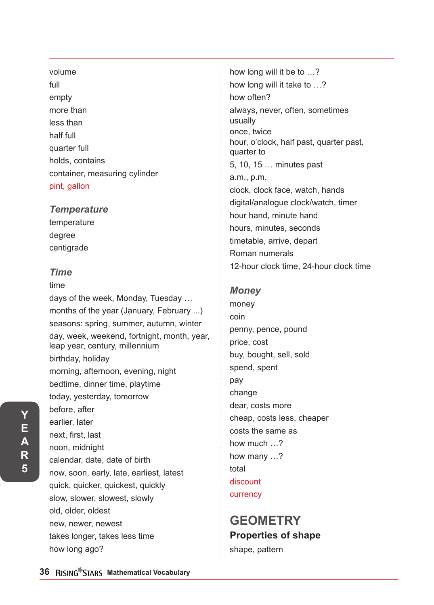# volume full empty more than less than half full quarter full holds, contains container, measuring cylinder pint, gallon

## *Temperature*

temperature degree centigrade

## *Time*

# time days of the week, Monday, Tuesday … months of the year (January, February ...) seasons: spring, summer, autumn, winter day, week, weekend, fortnight, month, year, leap year, century, millennium birthday, holiday morning, afternoon, evening, night bedtime, dinner time, playtime today, yesterday, tomorrow before, after earlier, later next, first, last noon, midnight calendar, date, date of birth now, soon, early, late, earliest, latest quick, quicker, quickest, quickly slow, slower, slowest, slowly old, older, oldest new, newer, newest takes longer, takes less time how long ago?

how long will it be to …? how long will it take to …? how often? always, never, often, sometimes usually once, twice hour, o'clock, half past, quarter past, quarter to 5, 10, 15 … minutes past a.m., p.m. clock, clock face, watch, hands digital/analogue clock/watch, timer hour hand, minute hand hours, minutes, seconds timetable, arrive, depart Roman numerals 12-hour clock time, 24-hour clock time

## *Money*

money coin penny, pence, pound price, cost buy, bought, sell, sold spend, spent pay change dear, costs more cheap, costs less, cheaper costs the same as how much …? how many …? total discount currency

# **GEOMETRY Properties of shape** shape, pattern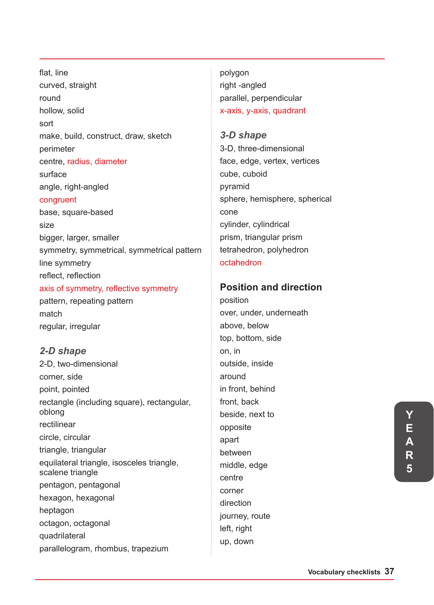flat, line curved, straight round hollow, solid sort make, build, construct, draw, sketch perimeter centre, radius, diameter surface angle, right-angled congruent base, square-based size bigger, larger, smaller symmetry, symmetrical, symmetrical pattern line symmetry reflect, reflection axis of symmetry, reflective symmetry pattern, repeating pattern match regular, irregular

#### *2-D shape*

2-D, two-dimensional corner, side point, pointed rectangle (including square), rectangular, oblong rectilinear circle, circular triangle, triangular equilateral triangle, isosceles triangle, scalene triangle pentagon, pentagonal hexagon, hexagonal heptagon octagon, octagonal quadrilateral parallelogram, rhombus, trapezium

polygon right -angled parallel, perpendicular x-axis, y-axis, quadrant

*3-D shape* 3-D, three-dimensional face, edge, vertex, vertices cube, cuboid pyramid sphere, hemisphere, spherical cone cylinder, cylindrical prism, triangular prism tetrahedron, polyhedron octahedron

### **Position and direction**

position over, under, underneath above, below top, bottom, side on, in outside, inside around in front, behind front, back beside, next to opposite apart between middle, edge centre corner direction journey, route left, right up, down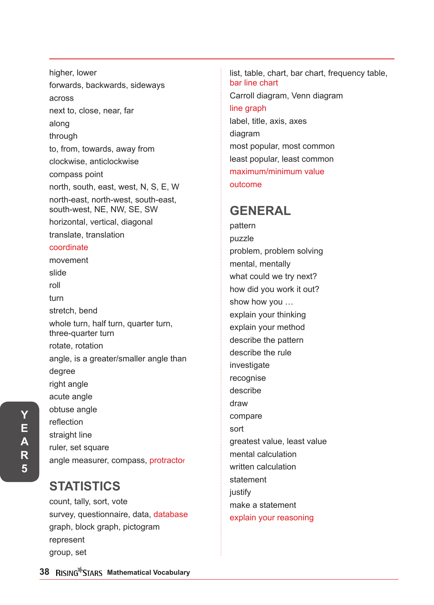higher, lower forwards, backwards, sideways across next to, close, near, far along through to, from, towards, away from clockwise, anticlockwise compass point north, south, east, west, N, S, E, W north-east, north-west, south-east, south-west, NE, NW, SE, SW horizontal, vertical, diagonal translate, translation coordinate movement slide roll turn stretch, bend whole turn, half turn, quarter turn, three-quarter turn rotate, rotation angle, is a greater/smaller angle than degree right angle acute angle obtuse angle reflection straight line ruler, set square angle measurer, compass, protractor

# **STATISTICS**

count, tally, sort, vote survey, questionnaire, data, database graph, block graph, pictogram represent group, set

list, table, chart, bar chart, frequency table, bar line chart Carroll diagram, Venn diagram line graph label, title, axis, axes diagram most popular, most common least popular, least common maximum/minimum value outcome

# **GENERAL**

pattern puzzle problem, problem solving mental, mentally what could we try next? how did you work it out? show how you … explain your thinking explain your method describe the pattern describe the rule investigate recognise describe draw compare sort greatest value, least value mental calculation written calculation statement justify make a statement explain your reasoning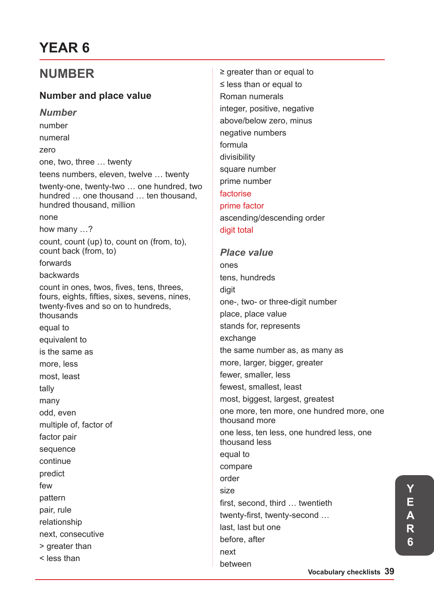# **YEAR 6**

# **NUMBER**

# **Number and place value**

*Number* number numeral zero one, two, three … twenty teens numbers, eleven, twelve … twenty twenty-one, twenty-two … one hundred, two hundred … one thousand … ten thousand, hundred thousand, million none how many …? count, count (up) to, count on (from, to), count back (from, to) forwards backwards count in ones, twos, fives, tens, threes, fours, eights, fifties, sixes, sevens, nines, twenty-fives and so on to hundreds, thousands equal to equivalent to is the same as more, less most, least tally many odd, even multiple of, factor of factor pair sequence continue predict few pattern pair, rule relationship next, consecutive > greater than < less than

≥ greater than or equal to ≤ less than or equal to Roman numerals integer, positive, negative above/below zero, minus negative numbers formula divisibility square number prime number factorise prime factor ascending/descending order digit total *Place value* ones tens, hundreds

digit one-, two- or three-digit number place, place value stands for, represents exchange the same number as, as many as more, larger, bigger, greater fewer, smaller, less fewest, smallest, least most, biggest, largest, greatest one more, ten more, one hundred more, one thousand more one less, ten less, one hundred less, one thousand less equal to compare order size first, second, third … twentieth twenty-first, twenty-second … last, last but one before, after next

between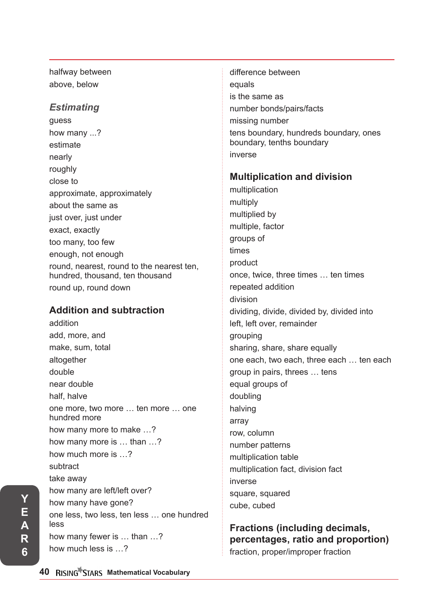halfway between above, below

### *Estimating*

guess how many ...? estimate nearly roughly close to approximate, approximately about the same as just over, just under exact, exactly too many, too few enough, not enough round, nearest, round to the nearest ten, hundred, thousand, ten thousand round up, round down

## **Addition and subtraction**

addition add, more, and make, sum, total altogether double near double half, halve one more, two more … ten more … one hundred more how many more to make …? how many more is … than …? how much more is …? subtract take away how many are left/left over? how many have gone? one less, two less, ten less … one hundred less how many fewer is … than …? how much less is …?

difference between equals is the same as number bonds/pairs/facts missing number tens boundary, hundreds boundary, ones boundary, tenths boundary inverse

### **Multiplication and division**

multiplication multiply multiplied by multiple, factor groups of times product once, twice, three times … ten times repeated addition division dividing, divide, divided by, divided into left, left over, remainder grouping sharing, share, share equally one each, two each, three each … ten each group in pairs, threes … tens equal groups of doubling halving array row, column number patterns multiplication table multiplication fact, division fact inverse square, squared cube, cubed

## **Fractions (including decimals, percentages, ratio and proportion)** fraction, proper/improper fraction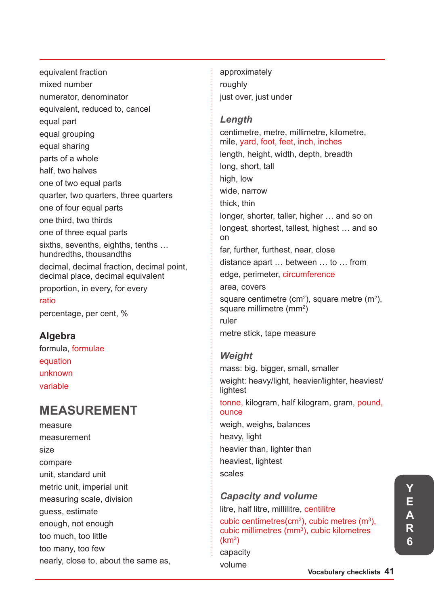equivalent fraction mixed number numerator, denominator equivalent, reduced to, cancel equal part equal grouping equal sharing parts of a whole half, two halves one of two equal parts quarter, two quarters, three quarters one of four equal parts one third, two thirds one of three equal parts sixths, sevenths, eighths, tenths … hundredths, thousandths decimal, decimal fraction, decimal point, decimal place, decimal equivalent proportion, in every, for every ratio percentage, per cent, %

## **Algebra**

formula, formulae equation unknown variable

# **MEASUREMENT**

measure measurement size compare unit, standard unit metric unit, imperial unit measuring scale, division guess, estimate enough, not enough too much, too little too many, too few nearly, close to, about the same as, approximately roughly just over, just under

### *Length*

centimetre, metre, millimetre, kilometre, mile, yard, foot, feet, inch, inches length, height, width, depth, breadth long, short, tall high, low wide, narrow thick, thin longer, shorter, taller, higher … and so on longest, shortest, tallest, highest … and so on far, further, furthest, near, close distance apart … between … to … from edge, perimeter, circumference area, covers square centimetre (cm<sup>2</sup>), square metre (m<sup>2</sup>), square millimetre (mm<sup>2</sup>) ruler metre stick, tape measure

## *Weight*

mass: big, bigger, small, smaller weight: heavy/light, heavier/lighter, heaviest/ lightest tonne, kilogram, half kilogram, gram, pound, ounce weigh, weighs, balances heavy, light heavier than, lighter than heaviest, lightest scales

# *Capacity and volume*  litre, half litre, millilitre, centilitre

#### cubic centimetres(cm<sup>3</sup>), cubic metres (m<sup>3</sup>), cubic millimetres (mm<sup>3</sup>), cubic kilometres  $\rm(km^3)$

capacity volume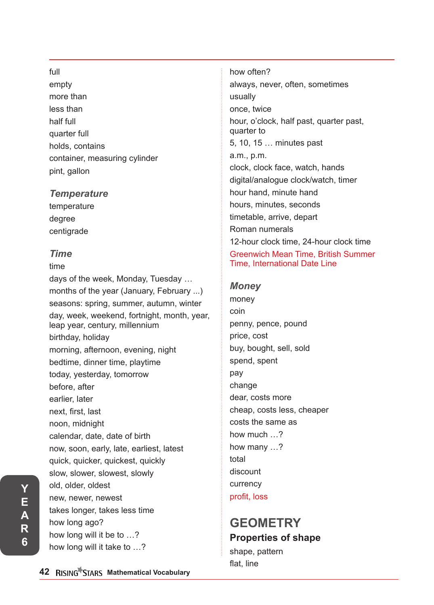#### full

empty more than less than half full quarter full holds, contains container, measuring cylinder pint, gallon

#### *Temperature*

temperature degree centigrade

#### *Time*

time days of the week, Monday, Tuesday … months of the year (January, February ...) seasons: spring, summer, autumn, winter day, week, weekend, fortnight, month, year, leap year, century, millennium birthday, holiday morning, afternoon, evening, night bedtime, dinner time, playtime today, yesterday, tomorrow before, after earlier, later next, first, last noon, midnight calendar, date, date of birth now, soon, early, late, earliest, latest quick, quicker, quickest, quickly slow, slower, slowest, slowly old, older, oldest new, newer, newest takes longer, takes less time how long ago? how long will it be to …? how long will it take to …?

how often? always, never, often, sometimes usually once, twice hour, o'clock, half past, quarter past, quarter to 5, 10, 15 … minutes past a.m., p.m. clock, clock face, watch, hands digital/analogue clock/watch, timer hour hand, minute hand hours, minutes, seconds timetable, arrive, depart Roman numerals 12-hour clock time, 24-hour clock time Greenwich Mean Time, British Summer Time, International Date Line

#### *Money*

money coin penny, pence, pound price, cost buy, bought, sell, sold spend, spent pay change dear, costs more cheap, costs less, cheaper costs the same as how much ? how many …? total discount currency profit, loss

# **GEOMETRY Properties of shape**

shape, pattern flat, line

**42 RISING STARS Mathematical Vocabulary**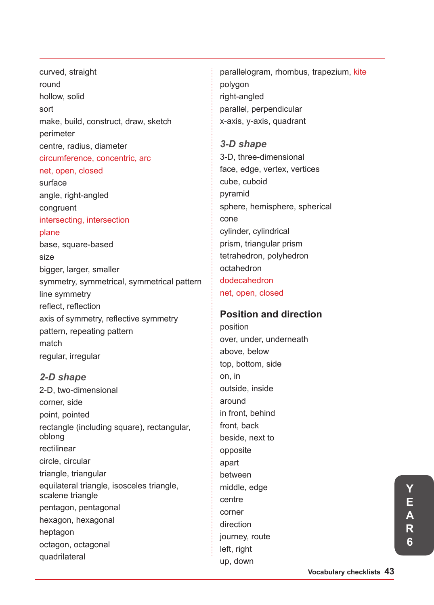curved, straight round hollow, solid sort make, build, construct, draw, sketch perimeter centre, radius, diameter circumference, concentric, arc net, open, closed surface angle, right-angled

congruent intersecting, intersection

#### plane

base, square-based size bigger, larger, smaller symmetry, symmetrical, symmetrical pattern line symmetry reflect, reflection axis of symmetry, reflective symmetry pattern, repeating pattern match regular, irregular

### *2-D shape*

2-D, two-dimensional corner, side point, pointed rectangle (including square), rectangular, oblong rectilinear circle, circular triangle, triangular equilateral triangle, isosceles triangle, scalene triangle pentagon, pentagonal hexagon, hexagonal heptagon octagon, octagonal quadrilateral

parallelogram, rhombus, trapezium, kite polygon right-angled parallel, perpendicular x-axis, y-axis, quadrant

# *3-D shape* 3-D, three-dimensional face, edge, vertex, vertices cube, cuboid pyramid sphere, hemisphere, spherical cone cylinder, cylindrical prism, triangular prism tetrahedron, polyhedron octahedron dodecahedron net, open, closed

## **Position and direction**

position over, under, underneath above, below top, bottom, side on, in outside, inside around in front, behind front, back beside, next to opposite apart between middle, edge centre corner direction journey, route left, right up, down